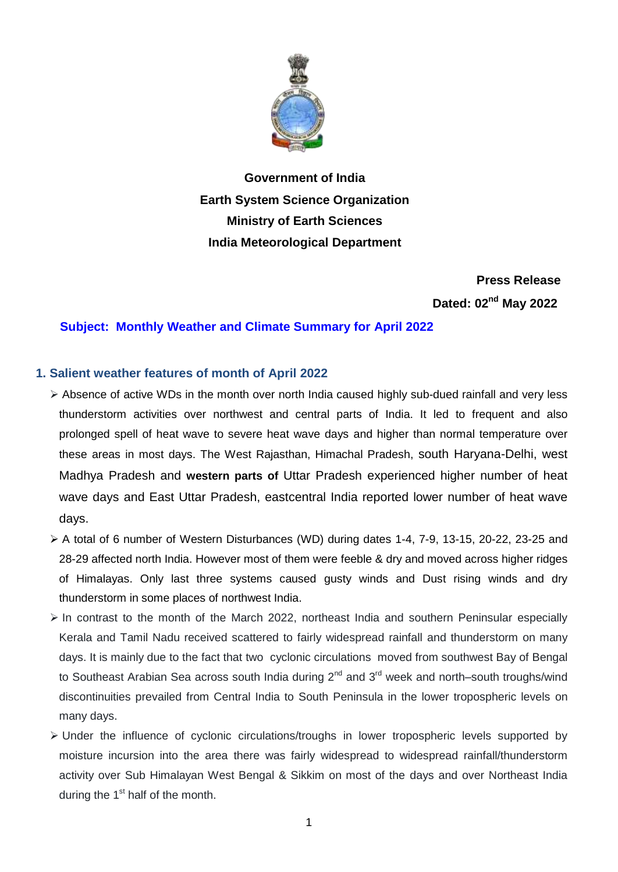

**Government of India Earth System Science Organization Ministry of Earth Sciences India Meteorological Department**

> **Press Release** Dated: 02<sup>nd</sup> May 2022

### **Subject: Monthly Weather and Climate Summary for April 2022**

### **1. Salient weather features of month of April 2022**

- $\triangleright$  Absence of active WDs in the month over north India caused highly sub-dued rainfall and very less thunderstorm activities over northwest and central parts of India. It led to frequent and also prolonged spell of heat wave to severe heat wave days and higher than normal temperature over these areas in most days. The West Rajasthan, Himachal Pradesh, south Haryana-Delhi, west Madhya Pradesh and **western parts of** Uttar Pradesh experienced higher number of heat wave days and East Uttar Pradesh, eastcentral India reported lower number of heat wave days.
- A total of 6 number of Western Disturbances (WD) during dates 1-4, 7-9, 13-15, 20-22, 23-25 and 28-29 affected north India. However most of them were feeble & dry and moved across higher ridges of Himalayas. Only last three systems caused gusty winds and Dust rising winds and dry thunderstorm in some places of northwest India.
- $\triangleright$  In contrast to the month of the March 2022, northeast India and southern Peninsular especially Kerala and Tamil Nadu received scattered to fairly widespread rainfall and thunderstorm on many days. It is mainly due to the fact that two cyclonic circulations moved from southwest Bay of Bengal to Southeast Arabian Sea across south India during  $2^{nd}$  and  $3^{rd}$  week and north–south troughs/wind discontinuities prevailed from Central India to South Peninsula in the lower tropospheric levels on many days.
- $\triangleright$  Under the influence of cyclonic circulations/troughs in lower tropospheric levels supported by moisture incursion into the area there was fairly widespread to widespread rainfall/thunderstorm activity over Sub Himalayan West Bengal & Sikkim on most of the days and over Northeast India during the  $1<sup>st</sup>$  half of the month.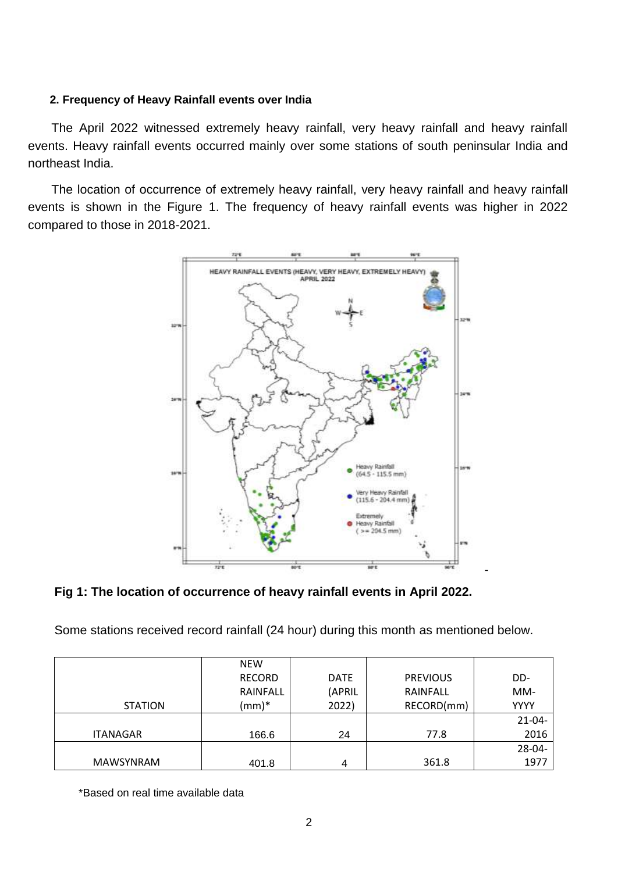### **2. Frequency of Heavy Rainfall events over India**

The April 2022 witnessed extremely heavy rainfall, very heavy rainfall and heavy rainfall events. Heavy rainfall events occurred mainly over some stations of south peninsular India and northeast India.

The location of occurrence of extremely heavy rainfall, very heavy rainfall and heavy rainfall events is shown in the Figure 1. The frequency of heavy rainfall events was higher in 2022 compared to those in 2018-2021.



**Fig 1: The location of occurrence of heavy rainfall events in April 2022.**

Some stations received record rainfall (24 hour) during this month as mentioned below.

|                  | <b>NEW</b>    |             |                 |             |
|------------------|---------------|-------------|-----------------|-------------|
|                  | <b>RECORD</b> | <b>DATE</b> | <b>PREVIOUS</b> | DD-         |
|                  | RAINFALL      | (APRIL      | RAINFALL        | MM-         |
| <b>STATION</b>   | $(mm)*$       | 2022)       | RECORD(mm)      | <b>YYYY</b> |
|                  |               |             |                 | $21 - 04 -$ |
| <b>ITANAGAR</b>  | 166.6         | 24          | 77.8            | 2016        |
|                  |               |             |                 | 28-04-      |
| <b>MAWSYNRAM</b> | 401.8         | 4           | 361.8           | 1977        |

\*Based on real time available data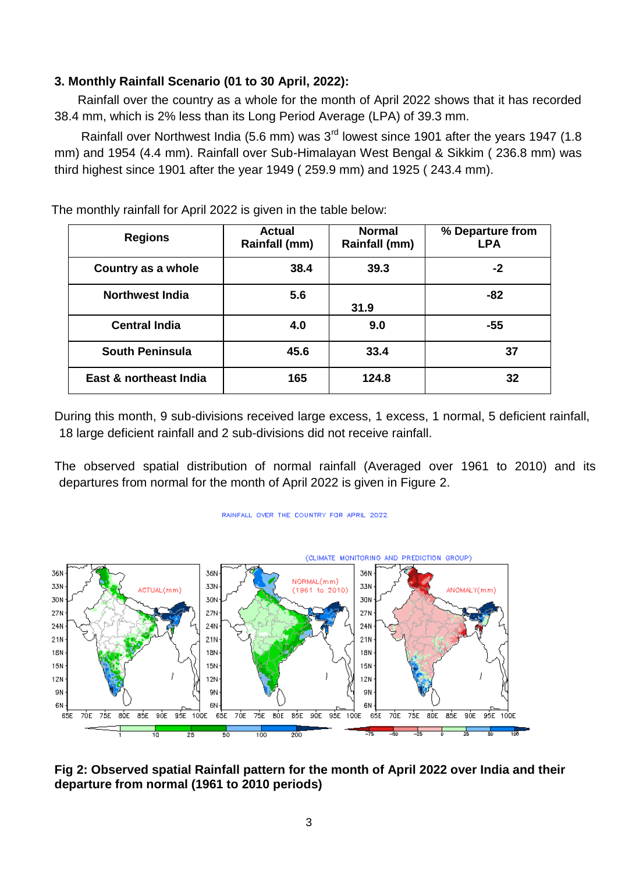# **3. Monthly Rainfall Scenario (01 to 30 April, 2022):**

Rainfall over the country as a whole for the month of April 2022 shows that it has recorded 38.4 mm, which is 2% less than its Long Period Average (LPA) of 39.3 mm.

Rainfall over Northwest India (5.6 mm) was 3<sup>rd</sup> lowest since 1901 after the years 1947 (1.8 mm) and 1954 (4.4 mm). Rainfall over Sub-Himalayan West Bengal & Sikkim ( 236.8 mm) was third highest since 1901 after the year 1949 ( 259.9 mm) and 1925 ( 243.4 mm).

| <b>Regions</b>         | <b>Actual</b><br>Rainfall (mm) | <b>Normal</b><br>Rainfall (mm) | % Departure from<br><b>LPA</b> |
|------------------------|--------------------------------|--------------------------------|--------------------------------|
| Country as a whole     | 38.4                           | 39.3                           | -2                             |
| <b>Northwest India</b> | 5.6                            | 31.9                           | -82                            |
| <b>Central India</b>   | 4.0                            | 9.0                            | -55                            |
| <b>South Peninsula</b> | 45.6                           | 33.4                           | 37                             |
| East & northeast India | 165                            | 124.8                          | 32                             |

The monthly rainfall for April 2022 is given in the table below:

During this month, 9 sub-divisions received large excess, 1 excess, 1 normal, 5 deficient rainfall, 18 large deficient rainfall and 2 sub-divisions did not receive rainfall.

The observed spatial distribution of normal rainfall (Averaged over 1961 to 2010) and its departures from normal for the month of April 2022 is given in Figure 2.



RAINFALL OVER THE COUNTRY FOR APRIL 2022

**Fig 2: Observed spatial Rainfall pattern for the month of April 2022 over India and their departure from normal (1961 to 2010 periods)**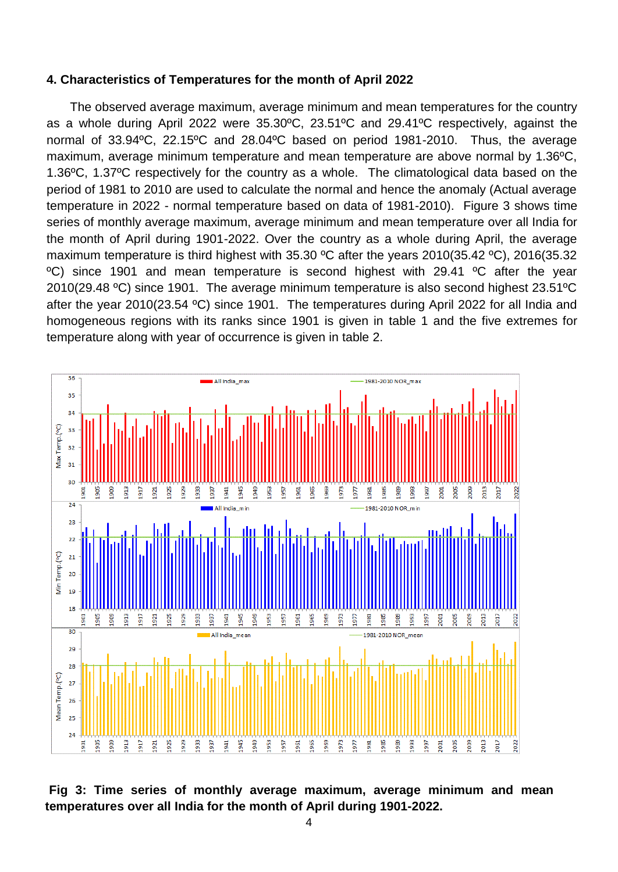#### **4. Characteristics of Temperatures for the month of April 2022**

The observed average maximum, average minimum and mean temperatures for the country as a whole during April 2022 were 35.30ºC, 23.51ºC and 29.41ºC respectively, against the normal of 33.94ºC, 22.15ºC and 28.04ºC based on period 1981-2010. Thus, the average maximum, average minimum temperature and mean temperature are above normal by 1.36ºC, 1.36ºC, 1.37ºC respectively for the country as a whole. The climatological data based on the period of 1981 to 2010 are used to calculate the normal and hence the anomaly (Actual average temperature in 2022 - normal temperature based on data of 1981-2010). Figure 3 shows time series of monthly average maximum, average minimum and mean temperature over all India for the month of April during 1901-2022. Over the country as a whole during April, the average maximum temperature is third highest with 35.30 °C after the years 2010(35.42 °C), 2016(35.32 ºC) since 1901 and mean temperature is second highest with 29.41 ºC after the year 2010(29.48 ºC) since 1901. The average minimum temperature is also second highest 23.51ºC after the year 2010(23.54 ºC) since 1901. The temperatures during April 2022 for all India and homogeneous regions with its ranks since 1901 is given in table 1 and the five extremes for temperature along with year of occurrence is given in table 2.



**Fig 3: Time series of monthly average maximum, average minimum and mean temperatures over all India for the month of April during 1901-2022.**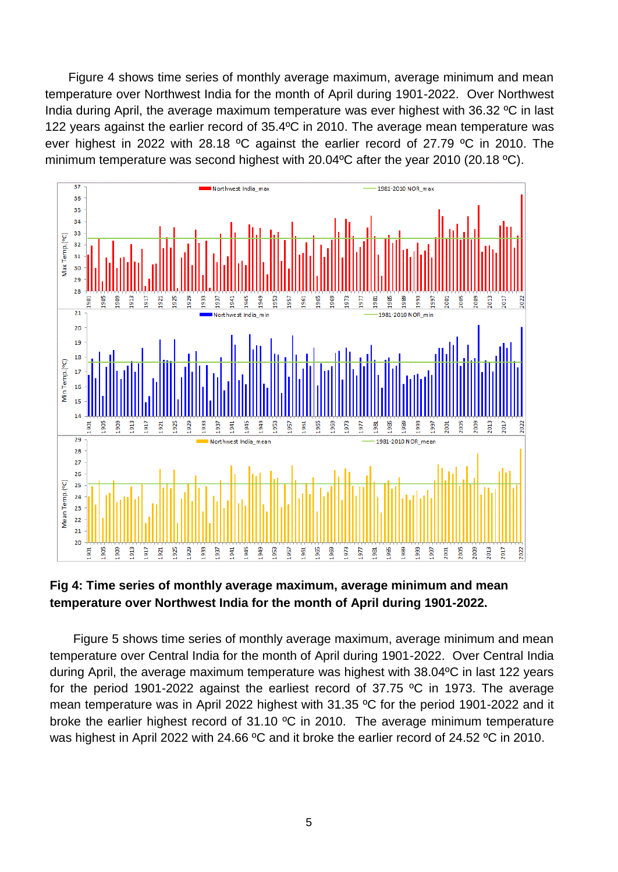Figure 4 shows time series of monthly average maximum, average minimum and mean temperature over Northwest India for the month of April during 1901-2022. Over Northwest India during April, the average maximum temperature was ever highest with 36.32 ºC in last 122 years against the earlier record of 35.4ºC in 2010. The average mean temperature was ever highest in 2022 with 28.18 ºC against the earlier record of 27.79 ºC in 2010. The minimum temperature was second highest with 20.04ºC after the year 2010 (20.18 ºC).



## **Fig 4: Time series of monthly average maximum, average minimum and mean temperature over Northwest India for the month of April during 1901-2022.**

Figure 5 shows time series of monthly average maximum, average minimum and mean temperature over Central India for the month of April during 1901-2022. Over Central India during April, the average maximum temperature was highest with 38.04ºC in last 122 years for the period 1901-2022 against the earliest record of 37.75 ºC in 1973. The average mean temperature was in April 2022 highest with 31.35 ºC for the period 1901-2022 and it broke the earlier highest record of 31.10 ºC in 2010. The average minimum temperature was highest in April 2022 with 24.66 °C and it broke the earlier record of 24.52 °C in 2010.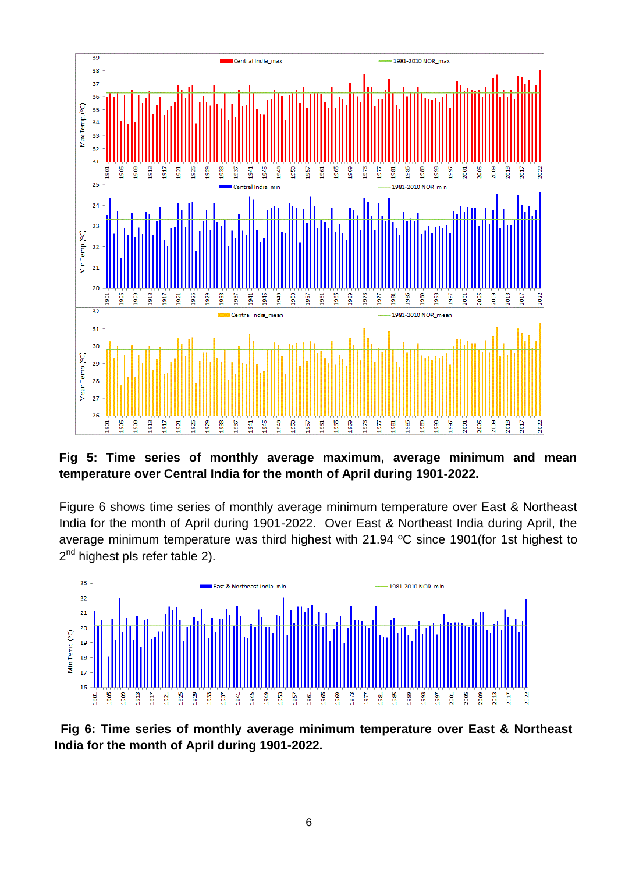

**Fig 5: Time series of monthly average maximum, average minimum and mean temperature over Central India for the month of April during 1901-2022.**

Figure 6 shows time series of monthly average minimum temperature over East & Northeast India for the month of April during 1901-2022. Over East & Northeast India during April, the average minimum temperature was third highest with 21.94 ºC since 1901(for 1st highest to 2<sup>nd</sup> highest pls refer table 2).



**Fig 6: Time series of monthly average minimum temperature over East & Northeast India for the month of April during 1901-2022.**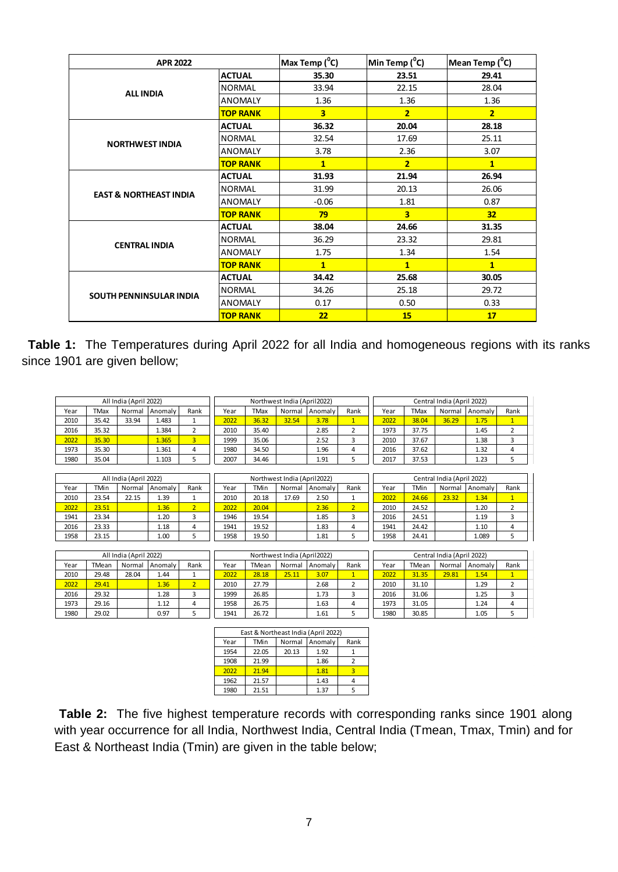| <b>APR 2022</b>                   |                 | Max Temp ( <sup>0</sup> C) | Min Temp $(^0C)$        | Mean Temp ( <sup>°</sup> C) |
|-----------------------------------|-----------------|----------------------------|-------------------------|-----------------------------|
|                                   | <b>ACTUAL</b>   | 35.30                      | 23.51                   | 29.41                       |
| <b>ALL INDIA</b>                  | <b>NORMAL</b>   | 33.94                      | 22.15                   | 28.04                       |
|                                   | <b>ANOMALY</b>  | 1.36                       | 1.36                    | 1.36                        |
|                                   | <b>TOP RANK</b> | $\overline{\mathbf{3}}$    | $\overline{2}$          | $\overline{2}$              |
|                                   | <b>ACTUAL</b>   | 36.32                      | 20.04                   | 28.18                       |
| <b>NORTHWEST INDIA</b>            | <b>NORMAL</b>   | 32.54                      | 17.69                   | 25.11                       |
|                                   | <b>ANOMALY</b>  | 3.78                       | 2.36                    | 3.07                        |
|                                   | <b>TOP RANK</b> | $\mathbf{1}$               | $\overline{2}$          | $\mathbf{1}$                |
|                                   | <b>ACTUAL</b>   | 31.93                      | 21.94                   | 26.94                       |
| <b>EAST &amp; NORTHEAST INDIA</b> | <b>NORMAL</b>   | 31.99                      | 20.13                   | 26.06                       |
|                                   | <b>ANOMALY</b>  | $-0.06$                    | 1.81                    | 0.87                        |
|                                   | <b>TOP RANK</b> | 79                         | $\overline{\mathbf{3}}$ | 32                          |
|                                   | <b>ACTUAL</b>   | 38.04                      | 24.66                   | 31.35                       |
| <b>CENTRAL INDIA</b>              | <b>NORMAL</b>   | 36.29                      | 23.32                   | 29.81                       |
|                                   | <b>ANOMALY</b>  | 1.75                       | 1.34                    | 1.54                        |
|                                   | <b>TOP RANK</b> | $\mathbf{1}$               | $\mathbf{1}$            | $\mathbf{1}$                |
|                                   | <b>ACTUAL</b>   | 34.42                      | 25.68                   | 30.05                       |
| <b>SOUTH PENNINSULAR INDIA</b>    | <b>NORMAL</b>   | 34.26                      | 25.18                   | 29.72                       |
|                                   | <b>ANOMALY</b>  | 0.17                       | 0.50                    | 0.33                        |
|                                   | <b>TOP RANK</b> | 22                         | 15                      | 17                          |

**Table 1:** The Temperatures during April 2022 for all India and homogeneous regions with its ranks since 1901 are given bellow;

|      |             | All India (April 2022) |         |      |      |             | Northwest India (April2022) |         |      |      |             | Central India (April 2022) |         |      |  |
|------|-------------|------------------------|---------|------|------|-------------|-----------------------------|---------|------|------|-------------|----------------------------|---------|------|--|
| Year | <b>TMax</b> | Normal                 | Anomaly | Rank | Year | <b>TMax</b> | Normal                      | Anomaly | Rank | Year | <b>TMax</b> | Normal                     | Anomaly | Rank |  |
| 2010 | 35.42       | 33.94                  | 1.483   |      | 2022 | 36.32       | 32.54                       | 3.78    |      | 2022 | 38.04       | 36.29                      | 1.75    | л.   |  |
| 2016 | 35.32       |                        | 1.384   |      | 2010 | 35.40       |                             | 2.85    |      | 1973 | 37.75       |                            | 1.45    |      |  |
| 2022 | 35.30       |                        | 1.365   |      | 1999 | 35.06       |                             | 2.52    |      | 2010 | 37.67       |                            | 1.38    |      |  |
| 1973 | 35.30       |                        | 1.361   | 4    | 1980 | 34.50       |                             | 1.96    | 4    | 2016 | 37.62       |                            | 1.32    | 4    |  |
| 1980 | 35.04       |                        | 1.103   |      | 2007 | 34.46       |                             | 1.91    |      | 2017 | 37.53       |                            | 1.23    |      |  |

|      |       | All India (April 2022) |         |      |      |             | Northwest India (April2022) |         |      |      |       | Central India (April 2022) |         |      |
|------|-------|------------------------|---------|------|------|-------------|-----------------------------|---------|------|------|-------|----------------------------|---------|------|
| Year | TMin  | Normal                 | Anomaly | Rank | Year | <b>TMin</b> | Normal                      | Anomaly | Rank | Year | TMin  | Normal                     | Anomaly | Rank |
| 2010 | 23.54 | 22.15                  | 1.39    |      | 2010 | 20.18       | 17.69                       | 2.50    |      | 2022 | 24.66 | 23.32                      | 1.34    | л.   |
| 2022 | 23.51 |                        | 1.36    |      | 2022 | 20.04       |                             | 2.36    |      | 2010 | 24.52 |                            | 1.20    |      |
| 1941 | 23.34 |                        | 1.20    |      | 1946 | 19.54       |                             | 1.85    |      | 2016 | 24.51 |                            | 1.19    |      |
| 2016 | 23.33 |                        | 1.18    | ↵    | 1941 | 19.52       |                             | 1.83    |      | 1941 | 24.42 |                            | 1.10    | 4    |
| 1958 | 23.15 |                        | 1.00    |      | 1958 | 19.50       |                             | 1.81    |      | 1958 | 24.41 |                            | 1.089   |      |

|      |       | All India (April 2022) |         |      |      |       | Northwest India (April2022) |         |      |      |       | Central India (April 2022) |         |      |
|------|-------|------------------------|---------|------|------|-------|-----------------------------|---------|------|------|-------|----------------------------|---------|------|
| Year | TMean | Normal                 | Anomaly | Rank | Year | TMean | Normal                      | Anomaly | Rank | Year | TMean | Normal                     | Anomaly | Rank |
| 2010 | 29.48 | 28.04                  | 1.44    |      | 2022 | 28.18 | 25.11                       | 3.07    |      | 2022 | 31.35 | 29.81                      | 1.54    |      |
| 2022 | 29.41 |                        | 1.36    |      | 2010 | 27.79 |                             | 2.68    |      | 2010 | 31.10 |                            | 1.29    |      |
| 2016 | 29.32 |                        | 1.28    |      | 1999 | 26.85 |                             | 1.73    |      | 2016 | 31.06 |                            | 1.25    |      |
| 1973 | 29.16 |                        | 1.12    |      | 1958 | 26.75 |                             | 1.63    | 4    | 1973 | 31.05 |                            | 1.24    |      |
| 1980 | 29.02 |                        | 0.97    |      | 1941 | 26.72 |                             | 1.61    |      | 1980 | 30.85 |                            | 1.05    |      |

| East & Northeast India (April 2022) |       |        |         |      |  |  |  |  |  |  |
|-------------------------------------|-------|--------|---------|------|--|--|--|--|--|--|
| Year                                | TMin  | Normal | Anomaly | Rank |  |  |  |  |  |  |
| 1954                                | 22.05 | 20.13  | 1.92    |      |  |  |  |  |  |  |
| 1908                                | 21.99 |        | 1.86    |      |  |  |  |  |  |  |
| 2022                                | 21.94 |        | 1.81    |      |  |  |  |  |  |  |
| 1962                                | 21.57 |        | 1.43    |      |  |  |  |  |  |  |
| 1980                                | 21.51 |        | 1.37    |      |  |  |  |  |  |  |

**Table 2:** The five highest temperature records with corresponding ranks since 1901 along with year occurrence for all India, Northwest India, Central India (Tmean, Tmax, Tmin) and for East & Northeast India (Tmin) are given in the table below;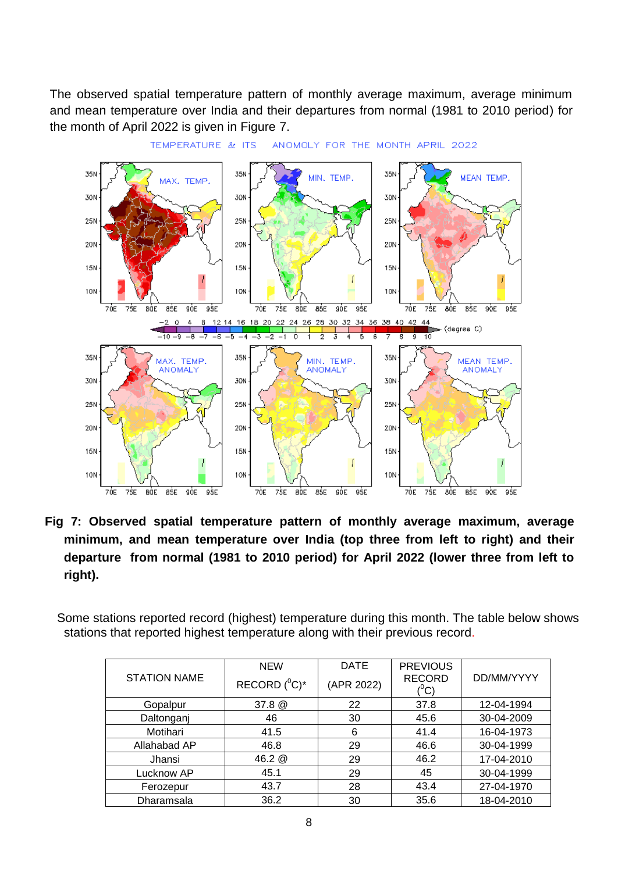The observed spatial temperature pattern of monthly average maximum, average minimum and mean temperature over India and their departures from normal (1981 to 2010 period) for the month of April 2022 is given in Figure 7.



 **Fig 7: Observed spatial temperature pattern of monthly average maximum, average minimum, and mean temperature over India (top three from left to right) and their departure from normal (1981 to 2010 period) for April 2022 (lower three from left to right).**

 Some stations reported record (highest) temperature during this month. The table below shows stations that reported highest temperature along with their previous record.

|                     | <b>NEW</b>       | <b>DATE</b> | <b>PREVIOUS</b>                 |            |  |
|---------------------|------------------|-------------|---------------------------------|------------|--|
| <b>STATION NAME</b> | RECORD $(^0C)^*$ | (APR 2022)  | <b>RECORD</b><br>$(^0\text{C})$ | DD/MM/YYYY |  |
| Gopalpur            | 37.8 @           | 22          | 37.8                            | 12-04-1994 |  |
| Daltonganj          | 46               | 30          | 45.6                            | 30-04-2009 |  |
| Motihari            | 41.5             | 6           | 41.4                            | 16-04-1973 |  |
| Allahabad AP        | 46.8             | 29          | 46.6                            | 30-04-1999 |  |
| Jhansi              | 46.2 @           | 29          | 46.2                            | 17-04-2010 |  |
| Lucknow AP          | 45.1             | 29          | 45                              | 30-04-1999 |  |
| Ferozepur           | 43.7             | 28          | 43.4                            | 27-04-1970 |  |
| Dharamsala          | 36.2             | 30          | 35.6                            | 18-04-2010 |  |